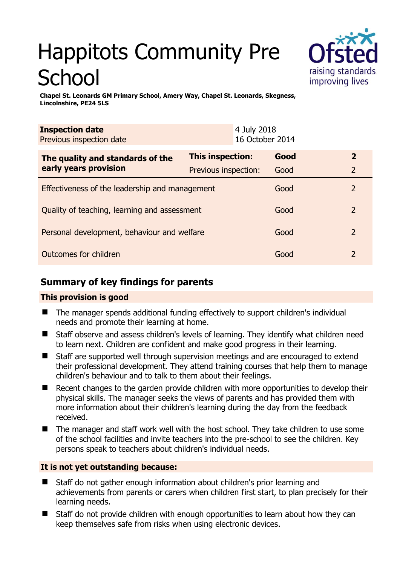# Happitots Community Pre School



**Chapel St. Leonards GM Primary School, Amery Way, Chapel St. Leonards, Skegness, Lincolnshire, PE24 5LS** 

| <b>Inspection date</b><br>Previous inspection date        |                      | 4 July 2018<br>16 October 2014 |      |                |
|-----------------------------------------------------------|----------------------|--------------------------------|------|----------------|
| The quality and standards of the<br>early years provision | This inspection:     |                                | Good | $\mathbf{2}$   |
|                                                           | Previous inspection: |                                | Good | $\overline{2}$ |
| Effectiveness of the leadership and management            |                      |                                | Good | 2              |
| Quality of teaching, learning and assessment              |                      |                                | Good | 2              |
| Personal development, behaviour and welfare               |                      |                                | Good | $\overline{2}$ |
| Outcomes for children                                     |                      |                                | Good | 2              |

# **Summary of key findings for parents**

## **This provision is good**

- The manager spends additional funding effectively to support children's individual needs and promote their learning at home.
- Staff observe and assess children's levels of learning. They identify what children need to learn next. Children are confident and make good progress in their learning.
- Staff are supported well through supervision meetings and are encouraged to extend their professional development. They attend training courses that help them to manage children's behaviour and to talk to them about their feelings.
- Recent changes to the garden provide children with more opportunities to develop their physical skills. The manager seeks the views of parents and has provided them with more information about their children's learning during the day from the feedback received.
- The manager and staff work well with the host school. They take children to use some of the school facilities and invite teachers into the pre-school to see the children. Key persons speak to teachers about children's individual needs.

## **It is not yet outstanding because:**

- Staff do not gather enough information about children's prior learning and achievements from parents or carers when children first start, to plan precisely for their learning needs.
- Staff do not provide children with enough opportunities to learn about how they can keep themselves safe from risks when using electronic devices.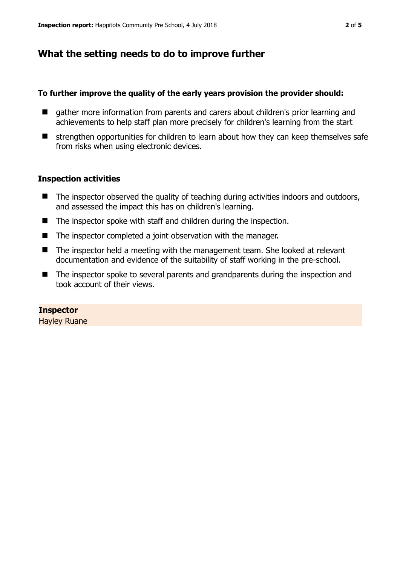# **What the setting needs to do to improve further**

#### **To further improve the quality of the early years provision the provider should:**

- gather more information from parents and carers about children's prior learning and achievements to help staff plan more precisely for children's learning from the start
- $\blacksquare$  strengthen opportunities for children to learn about how they can keep themselves safe from risks when using electronic devices.

### **Inspection activities**

- $\blacksquare$  The inspector observed the quality of teaching during activities indoors and outdoors, and assessed the impact this has on children's learning.
- The inspector spoke with staff and children during the inspection.
- The inspector completed a joint observation with the manager.
- The inspector held a meeting with the management team. She looked at relevant documentation and evidence of the suitability of staff working in the pre-school.
- The inspector spoke to several parents and grandparents during the inspection and took account of their views.

### **Inspector**

Hayley Ruane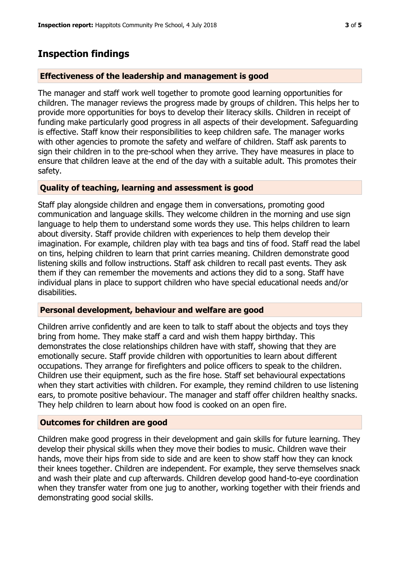## **Inspection findings**

#### **Effectiveness of the leadership and management is good**

The manager and staff work well together to promote good learning opportunities for children. The manager reviews the progress made by groups of children. This helps her to provide more opportunities for boys to develop their literacy skills. Children in receipt of funding make particularly good progress in all aspects of their development. Safeguarding is effective. Staff know their responsibilities to keep children safe. The manager works with other agencies to promote the safety and welfare of children. Staff ask parents to sign their children in to the pre-school when they arrive. They have measures in place to ensure that children leave at the end of the day with a suitable adult. This promotes their safety.

#### **Quality of teaching, learning and assessment is good**

Staff play alongside children and engage them in conversations, promoting good communication and language skills. They welcome children in the morning and use sign language to help them to understand some words they use. This helps children to learn about diversity. Staff provide children with experiences to help them develop their imagination. For example, children play with tea bags and tins of food. Staff read the label on tins, helping children to learn that print carries meaning. Children demonstrate good listening skills and follow instructions. Staff ask children to recall past events. They ask them if they can remember the movements and actions they did to a song. Staff have individual plans in place to support children who have special educational needs and/or disabilities.

#### **Personal development, behaviour and welfare are good**

Children arrive confidently and are keen to talk to staff about the objects and toys they bring from home. They make staff a card and wish them happy birthday. This demonstrates the close relationships children have with staff, showing that they are emotionally secure. Staff provide children with opportunities to learn about different occupations. They arrange for firefighters and police officers to speak to the children. Children use their equipment, such as the fire hose. Staff set behavioural expectations when they start activities with children. For example, they remind children to use listening ears, to promote positive behaviour. The manager and staff offer children healthy snacks. They help children to learn about how food is cooked on an open fire.

#### **Outcomes for children are good**

Children make good progress in their development and gain skills for future learning. They develop their physical skills when they move their bodies to music. Children wave their hands, move their hips from side to side and are keen to show staff how they can knock their knees together. Children are independent. For example, they serve themselves snack and wash their plate and cup afterwards. Children develop good hand-to-eye coordination when they transfer water from one jug to another, working together with their friends and demonstrating good social skills.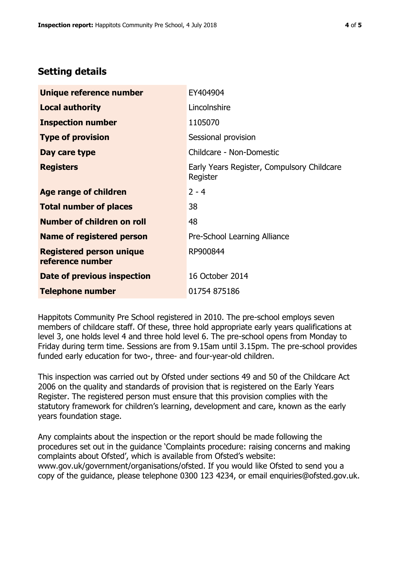# **Setting details**

| Unique reference number                             | EY404904                                               |  |
|-----------------------------------------------------|--------------------------------------------------------|--|
| <b>Local authority</b>                              | Lincolnshire                                           |  |
| <b>Inspection number</b>                            | 1105070                                                |  |
| <b>Type of provision</b>                            | Sessional provision                                    |  |
| Day care type                                       | Childcare - Non-Domestic                               |  |
| <b>Registers</b>                                    | Early Years Register, Compulsory Childcare<br>Register |  |
| <b>Age range of children</b>                        | $2 - 4$                                                |  |
| <b>Total number of places</b>                       | 38                                                     |  |
| Number of children on roll                          | 48                                                     |  |
| <b>Name of registered person</b>                    | Pre-School Learning Alliance                           |  |
| <b>Registered person unique</b><br>reference number | RP900844                                               |  |
| Date of previous inspection                         | 16 October 2014                                        |  |
| <b>Telephone number</b>                             | 01754 875186                                           |  |

Happitots Community Pre School registered in 2010. The pre-school employs seven members of childcare staff. Of these, three hold appropriate early years qualifications at level 3, one holds level 4 and three hold level 6. The pre-school opens from Monday to Friday during term time. Sessions are from 9.15am until 3.15pm. The pre-school provides funded early education for two-, three- and four-year-old children.

This inspection was carried out by Ofsted under sections 49 and 50 of the Childcare Act 2006 on the quality and standards of provision that is registered on the Early Years Register. The registered person must ensure that this provision complies with the statutory framework for children's learning, development and care, known as the early years foundation stage.

Any complaints about the inspection or the report should be made following the procedures set out in the guidance 'Complaints procedure: raising concerns and making complaints about Ofsted', which is available from Ofsted's website: www.gov.uk/government/organisations/ofsted. If you would like Ofsted to send you a copy of the guidance, please telephone 0300 123 4234, or email enquiries@ofsted.gov.uk.